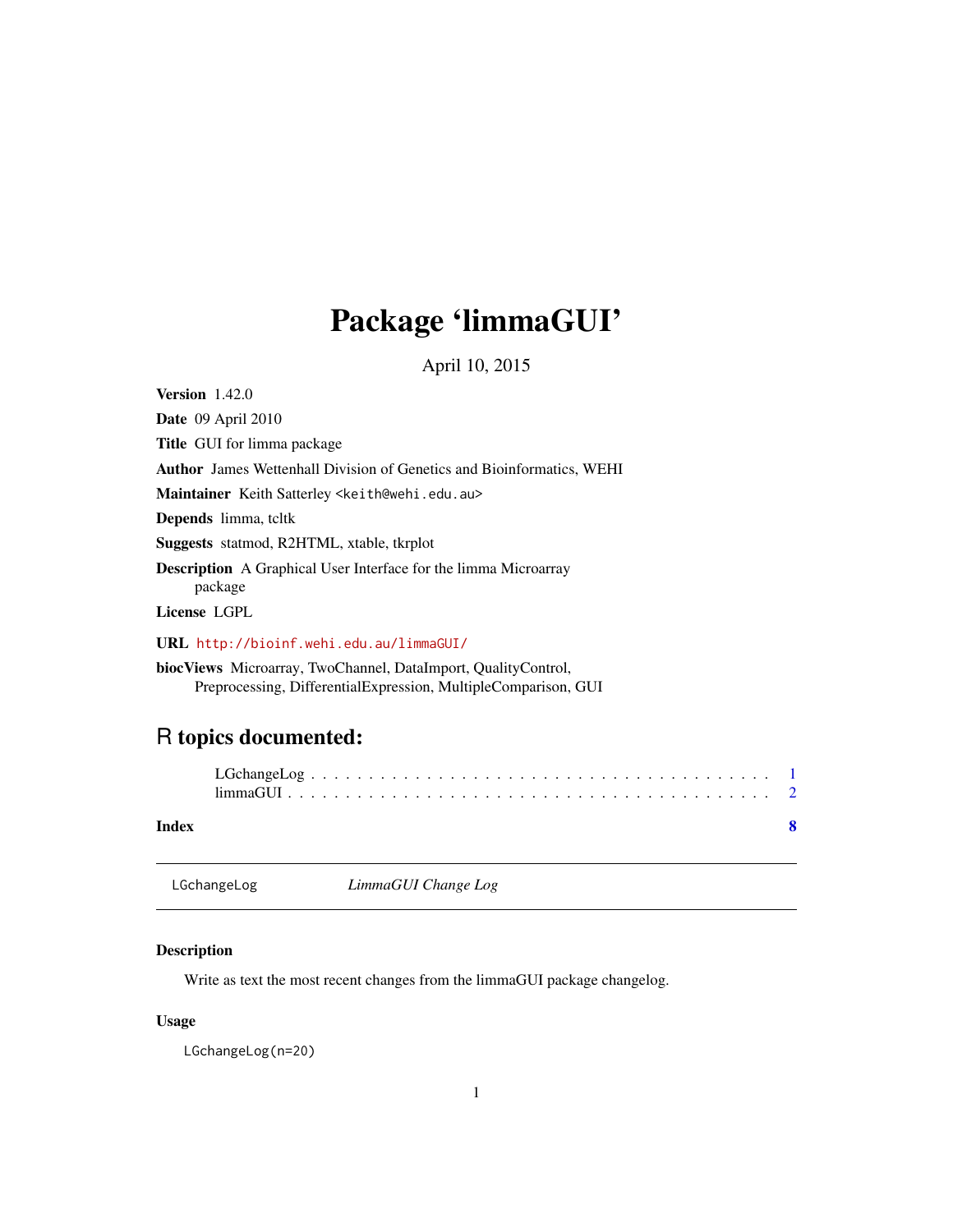## <span id="page-0-0"></span>Package 'limmaGUI'

April 10, 2015

Version 1.42.0

Date 09 April 2010 Title GUI for limma package Author James Wettenhall Division of Genetics and Bioinformatics, WEHI Maintainer Keith Satterley <keith@wehi.edu.au> Depends limma, tcltk Suggests statmod, R2HTML, xtable, tkrplot Description A Graphical User Interface for the limma Microarray package License LGPL

URL <http://bioinf.wehi.edu.au/limmaGUI/>

biocViews Microarray, TwoChannel, DataImport, QualityControl, Preprocessing, DifferentialExpression, MultipleComparison, GUI

### R topics documented:

| Index |  |
|-------|--|

LGchangeLog *LimmaGUI Change Log*

#### Description

Write as text the most recent changes from the limmaGUI package changelog.

#### Usage

LGchangeLog(n=20)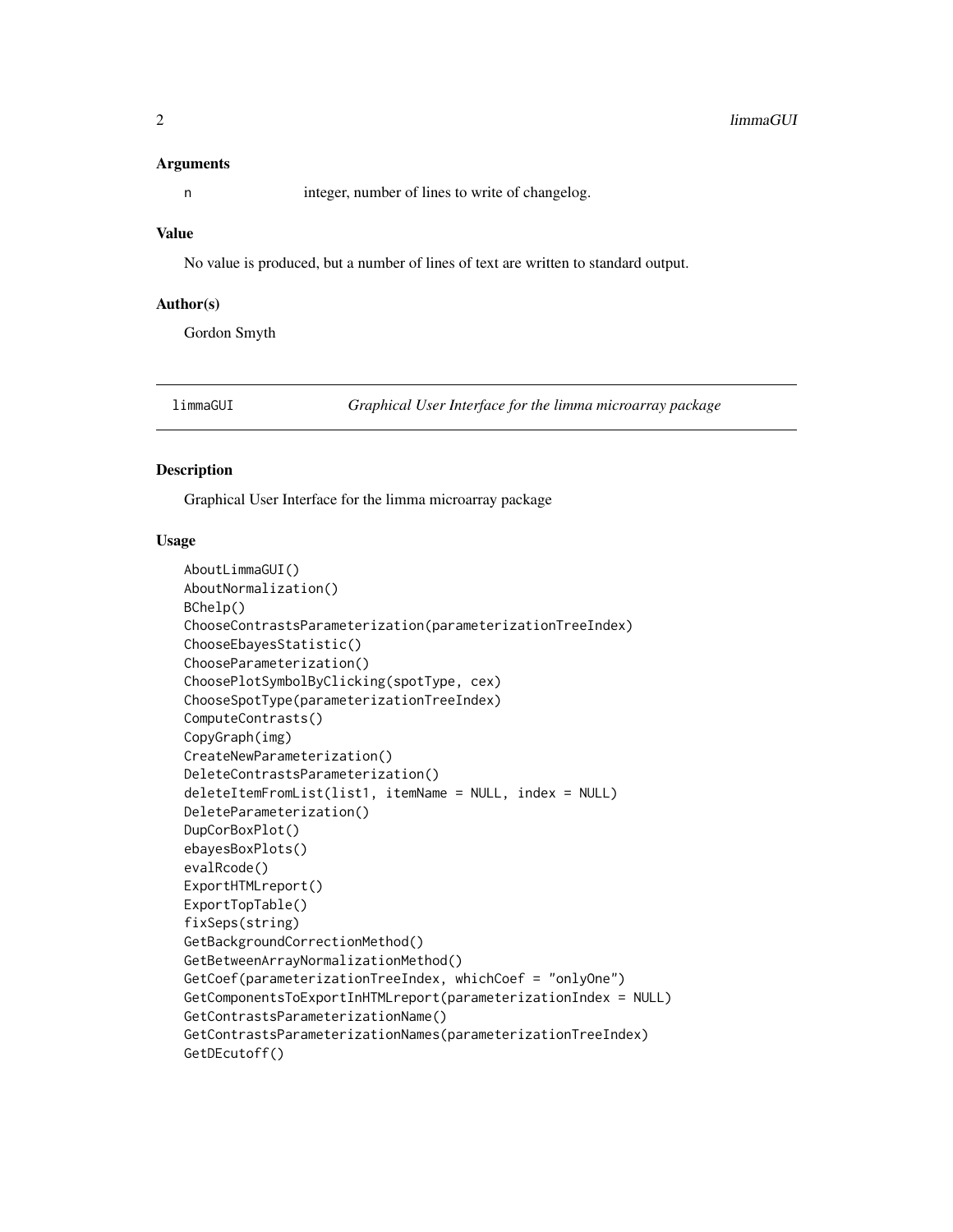#### <span id="page-1-0"></span>**Arguments**

n integer, number of lines to write of changelog.

#### Value

No value is produced, but a number of lines of text are written to standard output.

#### Author(s)

Gordon Smyth

limmaGUI *Graphical User Interface for the limma microarray package*

#### Description

Graphical User Interface for the limma microarray package

#### Usage

```
AboutLimmaGUI()
AboutNormalization()
BChelp()
ChooseContrastsParameterization(parameterizationTreeIndex)
ChooseEbayesStatistic()
ChooseParameterization()
ChoosePlotSymbolByClicking(spotType, cex)
ChooseSpotType(parameterizationTreeIndex)
ComputeContrasts()
CopyGraph(img)
CreateNewParameterization()
DeleteContrastsParameterization()
deleteItemFromList(list1, itemName = NULL, index = NULL)
DeleteParameterization()
DupCorBoxPlot()
ebayesBoxPlots()
evalRcode()
ExportHTMLreport()
ExportTopTable()
fixSeps(string)
GetBackgroundCorrectionMethod()
GetBetweenArrayNormalizationMethod()
GetCoef(parameterizationTreeIndex, whichCoef = "onlyOne")
GetComponentsToExportInHTMLreport(parameterizationIndex = NULL)
GetContrastsParameterizationName()
GetContrastsParameterizationNames(parameterizationTreeIndex)
GetDEcutoff()
```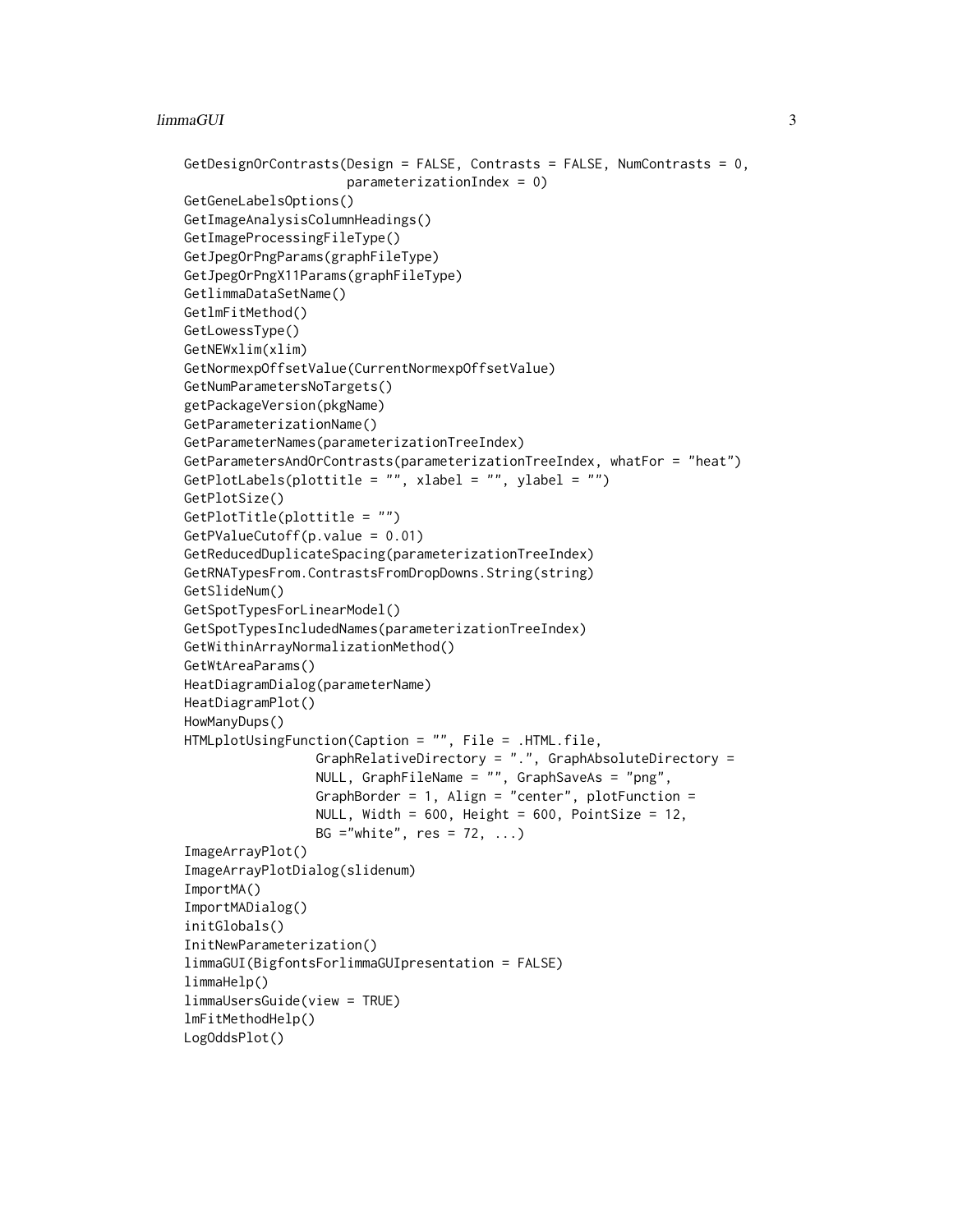#### limmaGUI 3

```
GetDesignOrContrasts(Design = FALSE, Contrasts = FALSE, NumContrasts = 0,
                     parameterizationIndex = 0)
GetGeneLabelsOptions()
GetImageAnalysisColumnHeadings()
GetImageProcessingFileType()
GetJpegOrPngParams(graphFileType)
GetJpegOrPngX11Params(graphFileType)
GetlimmaDataSetName()
GetlmFitMethod()
GetLowessType()
GetNEWxlim(xlim)
GetNormexpOffsetValue(CurrentNormexpOffsetValue)
GetNumParametersNoTargets()
getPackageVersion(pkgName)
GetParameterizationName()
GetParameterNames(parameterizationTreeIndex)
GetParametersAndOrContrasts(parameterizationTreeIndex, whatFor = "heat")
GetPlotLabels(plottitle = "", xlabel = "", ylabel = "")
GetPlotSize()
GetPlotTitle(plottitle = "")
GetPValueCutoff(p.value = 0.01)
GetReducedDuplicateSpacing(parameterizationTreeIndex)
GetRNATypesFrom.ContrastsFromDropDowns.String(string)
GetSlideNum()
GetSpotTypesForLinearModel()
GetSpotTypesIncludedNames(parameterizationTreeIndex)
GetWithinArrayNormalizationMethod()
GetWtAreaParams()
HeatDiagramDialog(parameterName)
HeatDiagramPlot()
HowManyDups()
HTMLplotUsingFunction(Caption = "", File = .HTML.file,
                 GraphRelativeDirectory = ".", GraphAbsoluteDirectory =
                 NULL, GraphFileName = "", GraphSaveAs = "png",
                 GraphBorder = 1, Align = "center", plotFunction =
                 NULL, Width = 600, Height = 600, PointSize = 12,
                 BG ="white", res = 72, ...)
ImageArrayPlot()
ImageArrayPlotDialog(slidenum)
ImportMA()
ImportMADialog()
initGlobals()
InitNewParameterization()
limmaGUI(BigfontsForlimmaGUIpresentation = FALSE)
limmaHelp()
limmaUsersGuide(view = TRUE)
lmFitMethodHelp()
LogOddsPlot()
```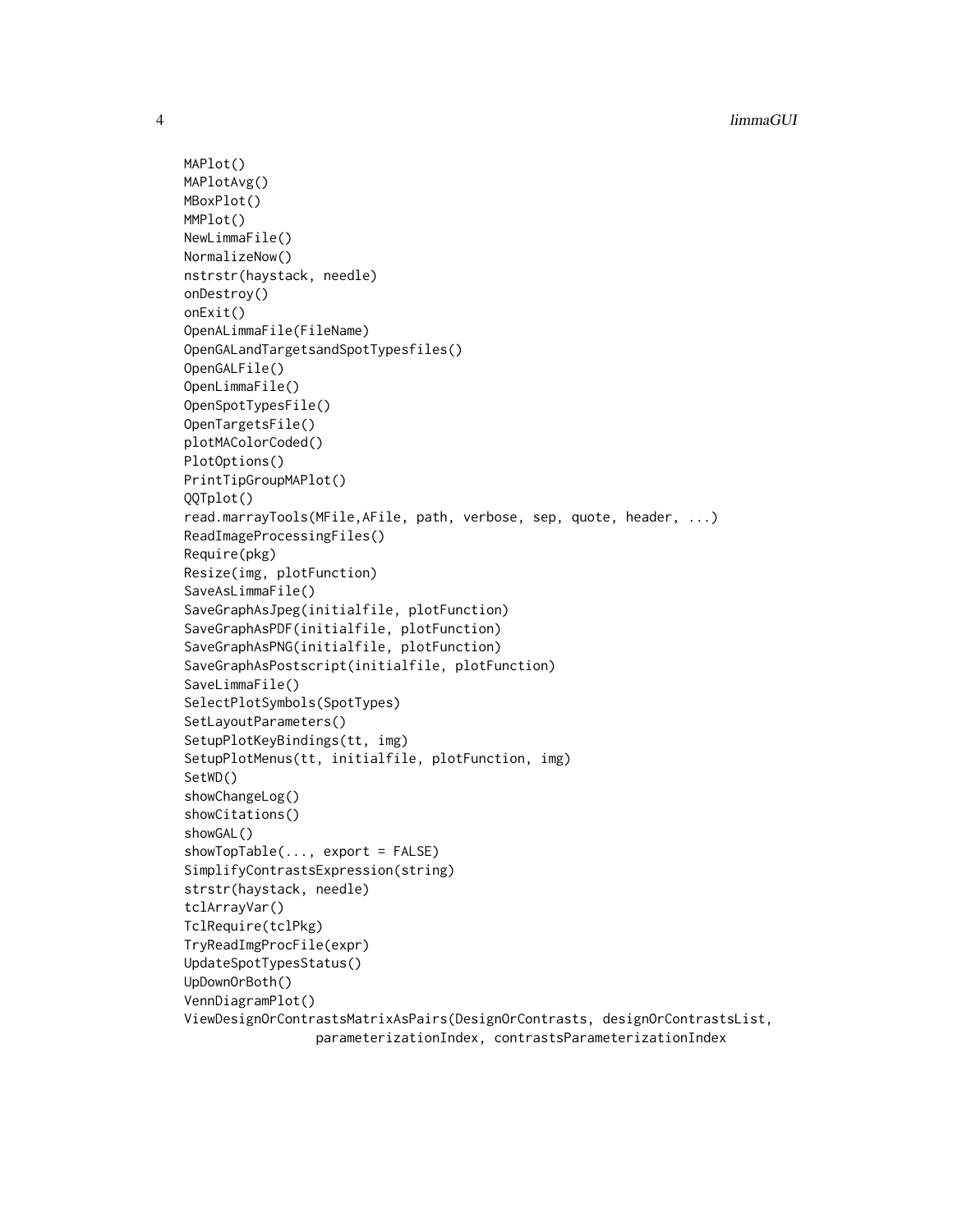```
MAPlot()
MAPlotAvg()
MBoxPlot()
MMPlot()
NewLimmaFile()
NormalizeNow()
nstrstr(haystack, needle)
onDestroy()
onExit()
OpenALimmaFile(FileName)
OpenGALandTargetsandSpotTypesfiles()
OpenGALFile()
OpenLimmaFile()
OpenSpotTypesFile()
OpenTargetsFile()
plotMAColorCoded()
PlotOptions()
PrintTipGroupMAPlot()
QQTplot()
read.marrayTools(MFile,AFile, path, verbose, sep, quote, header, ...)
ReadImageProcessingFiles()
Require(pkg)
Resize(img, plotFunction)
SaveAsLimmaFile()
SaveGraphAsJpeg(initialfile, plotFunction)
SaveGraphAsPDF(initialfile, plotFunction)
SaveGraphAsPNG(initialfile, plotFunction)
SaveGraphAsPostscript(initialfile, plotFunction)
SaveLimmaFile()
SelectPlotSymbols(SpotTypes)
SetLayoutParameters()
SetupPlotKeyBindings(tt, img)
SetupPlotMenus(tt, initialfile, plotFunction, img)
SetWD()
showChangeLog()
showCitations()
showGAL()
showTopTable(..., export = FALSE)
SimplifyContrastsExpression(string)
strstr(haystack, needle)
tclArrayVar()
TclRequire(tclPkg)
TryReadImgProcFile(expr)
UpdateSpotTypesStatus()
UpDownOrBoth()
VennDiagramPlot()
ViewDesignOrContrastsMatrixAsPairs(DesignOrContrasts, designOrContrastsList,
                 parameterizationIndex, contrastsParameterizationIndex
```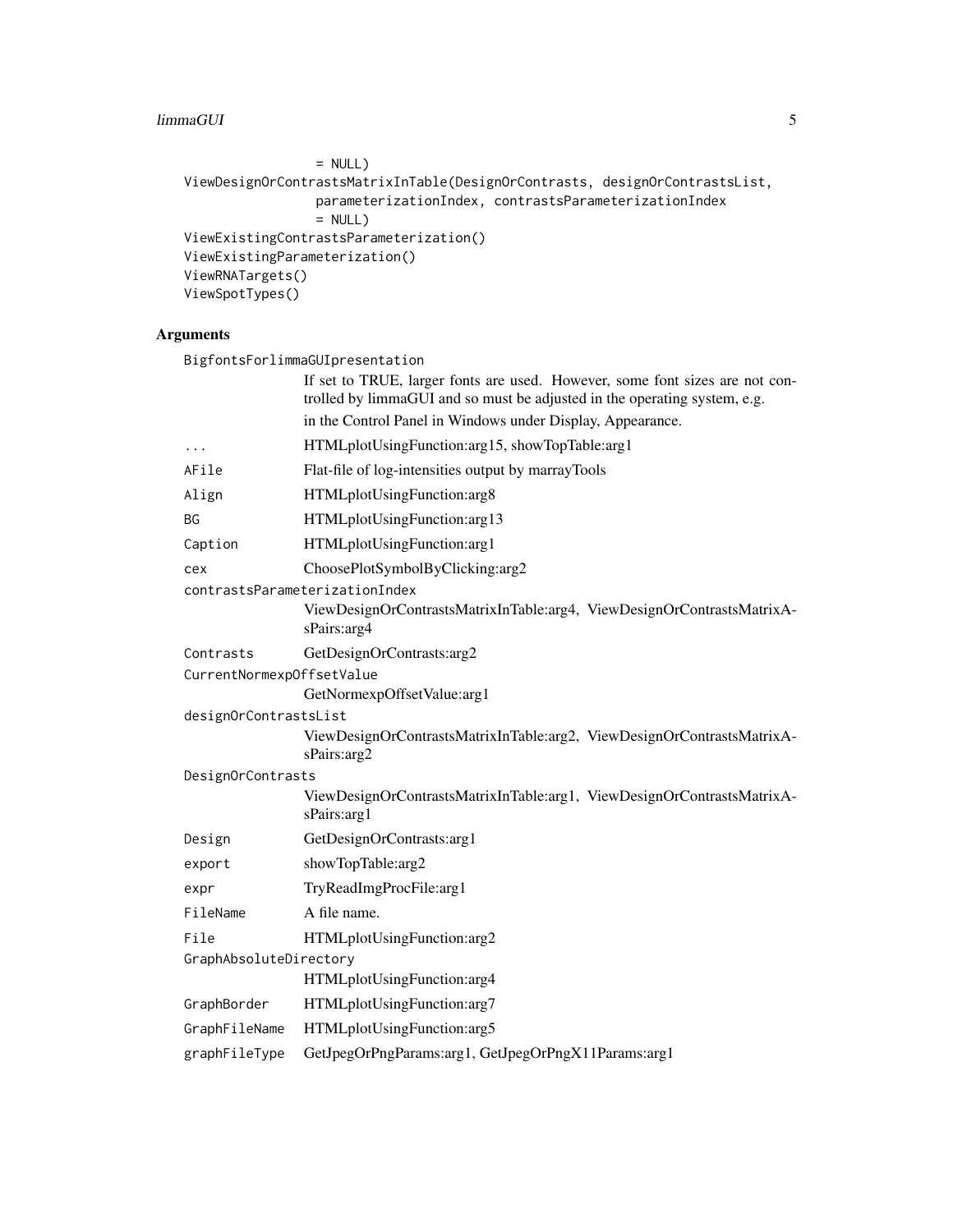#### limmaGUI 5

```
= NULL)ViewDesignOrContrastsMatrixInTable(DesignOrContrasts, designOrContrastsList,
                parameterizationIndex, contrastsParameterizationIndex
                = NULL)
ViewExistingContrastsParameterization()
ViewExistingParameterization()
ViewRNATargets()
ViewSpotTypes()
```
#### Arguments

|                           | BigfontsForlimmaGUIpresentation                                                                                                                           |
|---------------------------|-----------------------------------------------------------------------------------------------------------------------------------------------------------|
|                           | If set to TRUE, larger fonts are used. However, some font sizes are not con-<br>trolled by limmaGUI and so must be adjusted in the operating system, e.g. |
|                           | in the Control Panel in Windows under Display, Appearance.                                                                                                |
| $\ddots$                  | HTMLplotUsingFunction:arg15, showTopTable:arg1                                                                                                            |
| AFile                     | Flat-file of log-intensities output by marrayTools                                                                                                        |
| Align                     | HTMLplotUsingFunction:arg8                                                                                                                                |
| ΒG                        | HTMLplotUsingFunction:arg13                                                                                                                               |
| Caption                   | HTMLplotUsingFunction:arg1                                                                                                                                |
| cex                       | ChoosePlotSymbolByClicking:arg2                                                                                                                           |
|                           | contrastsParameterizationIndex                                                                                                                            |
|                           | ViewDesignOrContrastsMatrixInTable:arg4, ViewDesignOrContrastsMatrixA-<br>sPairs: arg4                                                                    |
| Contrasts                 | GetDesignOrContrasts:arg2                                                                                                                                 |
| CurrentNormexpOffsetValue |                                                                                                                                                           |
|                           | GetNormexpOffsetValue:arg1                                                                                                                                |
| designOrContrastsList     |                                                                                                                                                           |
|                           | ViewDesignOrContrastsMatrixInTable:arg2, ViewDesignOrContrastsMatrixA-<br>sPairs: arg2                                                                    |
| DesignOrContrasts         |                                                                                                                                                           |
|                           | ViewDesignOrContrastsMatrixInTable:arg1, ViewDesignOrContrastsMatrixA-<br>sPairs: arg1                                                                    |
| Design                    | GetDesignOrContrasts:arg1                                                                                                                                 |
| export                    | showTopTable:arg2                                                                                                                                         |
| expr                      | TryReadImgProcFile:arg1                                                                                                                                   |
| FileName                  | A file name.                                                                                                                                              |
| File                      | HTMLplotUsingFunction:arg2                                                                                                                                |
| GraphAbsoluteDirectory    | HTMLplotUsingFunction:arg4                                                                                                                                |
| GraphBorder               | HTMLplotUsingFunction:arg7                                                                                                                                |
| GraphFileName             | HTMLplotUsingFunction:arg5                                                                                                                                |
| graphFileType             | GetJpegOrPngParams:arg1, GetJpegOrPngX11Params:arg1                                                                                                       |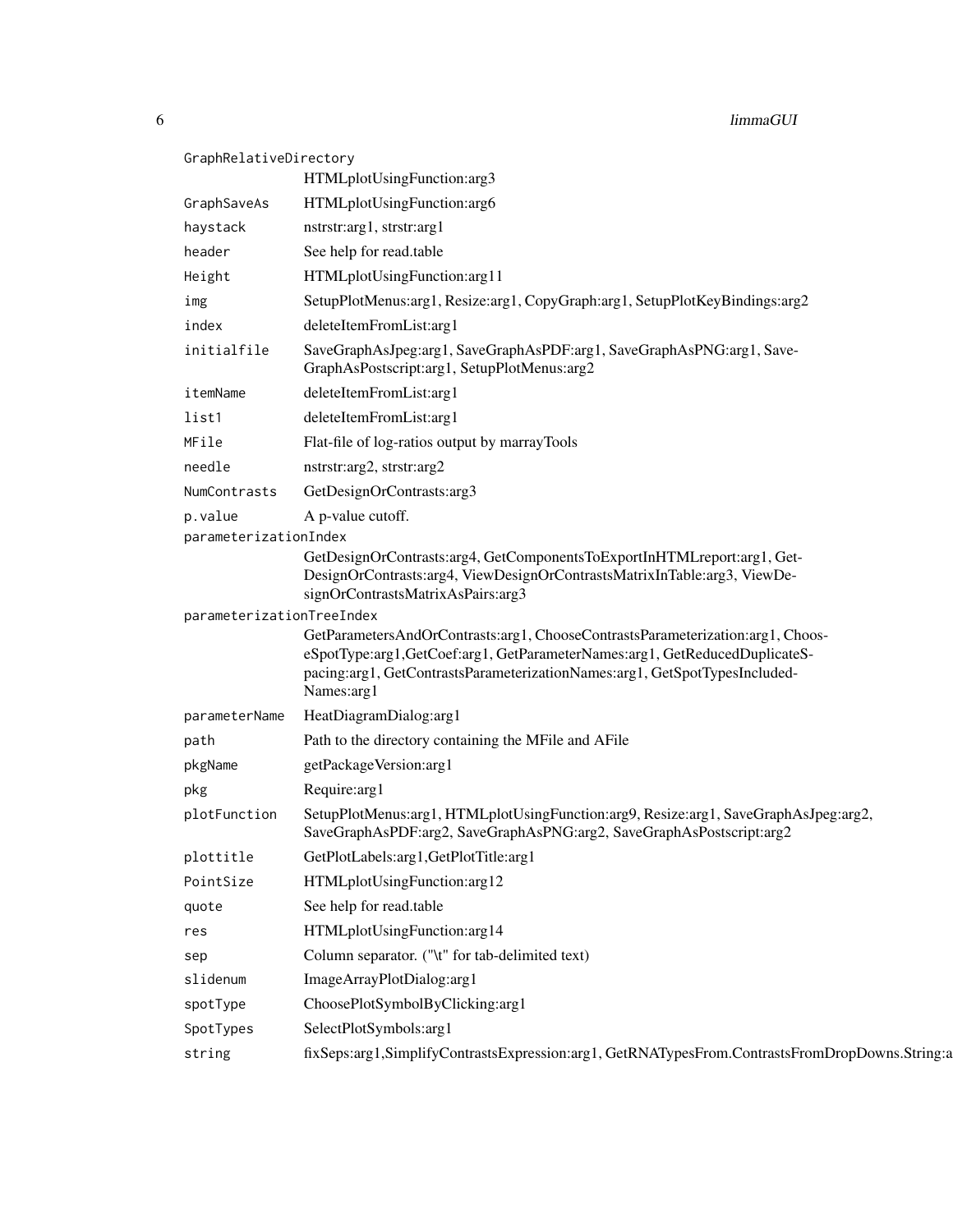| GraphRelativeDirectory    |                       |                                                                                                                                                                                                                                                        |  |
|---------------------------|-----------------------|--------------------------------------------------------------------------------------------------------------------------------------------------------------------------------------------------------------------------------------------------------|--|
|                           |                       | HTMLplotUsingFunction:arg3                                                                                                                                                                                                                             |  |
|                           | GraphSaveAs           | HTMLplotUsingFunction:arg6                                                                                                                                                                                                                             |  |
|                           | haystack              | nstrstr:arg1, strstr:arg1                                                                                                                                                                                                                              |  |
|                           | header                | See help for read.table                                                                                                                                                                                                                                |  |
|                           | Height                | HTMLplotUsingFunction:arg11                                                                                                                                                                                                                            |  |
|                           | img                   | SetupPlotMenus:arg1, Resize:arg1, CopyGraph:arg1, SetupPlotKeyBindings:arg2                                                                                                                                                                            |  |
|                           | index                 | deleteItemFromList:arg1                                                                                                                                                                                                                                |  |
|                           | initialfile           | SaveGraphAsJpeg:arg1, SaveGraphAsPDF:arg1, SaveGraphAsPNG:arg1, Save-<br>GraphAsPostscript:arg1, SetupPlotMenus:arg2                                                                                                                                   |  |
|                           | itemName              | deleteItemFromList:arg1                                                                                                                                                                                                                                |  |
|                           | list1                 | deleteItemFromList:arg1                                                                                                                                                                                                                                |  |
|                           | MFile                 | Flat-file of log-ratios output by marrayTools                                                                                                                                                                                                          |  |
|                           | needle                | nstrstr:arg2, strstr:arg2                                                                                                                                                                                                                              |  |
|                           | NumContrasts          | GetDesignOrContrasts:arg3                                                                                                                                                                                                                              |  |
|                           | p.value               | A p-value cutoff.                                                                                                                                                                                                                                      |  |
|                           | parameterizationIndex |                                                                                                                                                                                                                                                        |  |
|                           |                       | GetDesignOrContrasts:arg4, GetComponentsToExportInHTMLreport:arg1, Get-<br>DesignOrContrasts:arg4, ViewDesignOrContrastsMatrixInTable:arg3, ViewDe-<br>signOrContrastsMatrixAsPairs:arg3                                                               |  |
| parameterizationTreeIndex |                       |                                                                                                                                                                                                                                                        |  |
|                           |                       | GetParametersAndOrContrasts:arg1, ChooseContrastsParameterization:arg1, Choos-<br>eSpotType:arg1,GetCoef:arg1,GetParameterNames:arg1,GetReducedDuplicateS-<br>pacing:arg1, GetContrastsParameterizationNames:arg1, GetSpotTypesIncluded-<br>Names:arg1 |  |
|                           | parameterName         | HeatDiagramDialog:arg1                                                                                                                                                                                                                                 |  |
|                           | path                  | Path to the directory containing the MFile and AFile                                                                                                                                                                                                   |  |
|                           | pkgName               | getPackageVersion:arg1                                                                                                                                                                                                                                 |  |
|                           | pkg                   | Require: arg1                                                                                                                                                                                                                                          |  |
|                           | plotFunction          | SetupPlotMenus:arg1, HTMLplotUsingFunction:arg9, Resize:arg1, SaveGraphAsJpeg:arg2,<br>SaveGraphAsPDF:arg2, SaveGraphAsPNG:arg2, SaveGraphAsPostscript:arg2                                                                                            |  |
|                           | plottitle             | GetPlotLabels:arg1,GetPlotTitle:arg1                                                                                                                                                                                                                   |  |
|                           | PointSize             | HTMLplotUsingFunction:arg12                                                                                                                                                                                                                            |  |
|                           | quote                 | See help for read.table                                                                                                                                                                                                                                |  |
|                           | res                   | HTMLplotUsingFunction:arg14                                                                                                                                                                                                                            |  |
|                           | sep                   | Column separator. ("\t" for tab-delimited text)                                                                                                                                                                                                        |  |
|                           | slidenum              | ImageArrayPlotDialog:arg1                                                                                                                                                                                                                              |  |
|                           | spotType              | ChoosePlotSymbolByClicking:arg1                                                                                                                                                                                                                        |  |
|                           | SpotTypes             | SelectPlotSymbols:arg1                                                                                                                                                                                                                                 |  |
|                           | string                | fixSeps:arg1,SimplifyContrastsExpression:arg1,GetRNATypesFrom.ContrastsFromDropDowns.String:a                                                                                                                                                          |  |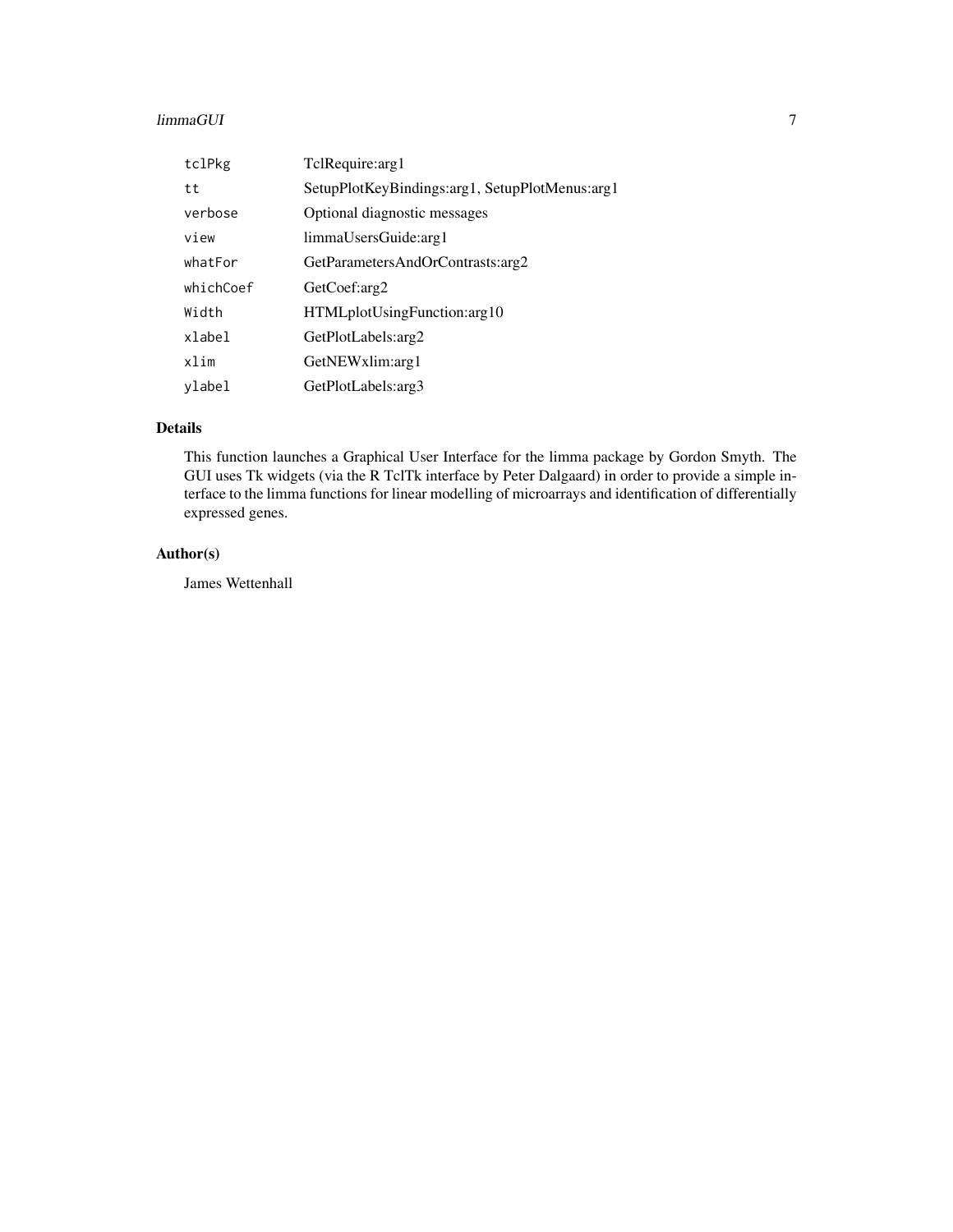#### limmaGUI 70 and 200 and 200 and 200 and 200 and 200 and 200 and 200 and 200 and 200 and 200 and 200 and 200 an

| tclPkg    | TclRequire: arg1                               |
|-----------|------------------------------------------------|
| tt        | SetupPlotKeyBindings:arg1, SetupPlotMenus:arg1 |
| verbose   | Optional diagnostic messages                   |
| view      | limmaUsersGuide:arg1                           |
| whatFor   | GetParametersAndOrContrasts:arg2               |
| whichCoef | GetCoef:arg2                                   |
| Width     | HTMLplotUsingFunction:arg10                    |
| xlabel    | GetPlotLabels: arg2                            |
| xlim      | GetNEWxlim:arg1                                |
| ylabel    | GetPlotLabels: arg3                            |

#### Details

This function launches a Graphical User Interface for the limma package by Gordon Smyth. The GUI uses Tk widgets (via the R TclTk interface by Peter Dalgaard) in order to provide a simple interface to the limma functions for linear modelling of microarrays and identification of differentially expressed genes.

#### Author(s)

James Wettenhall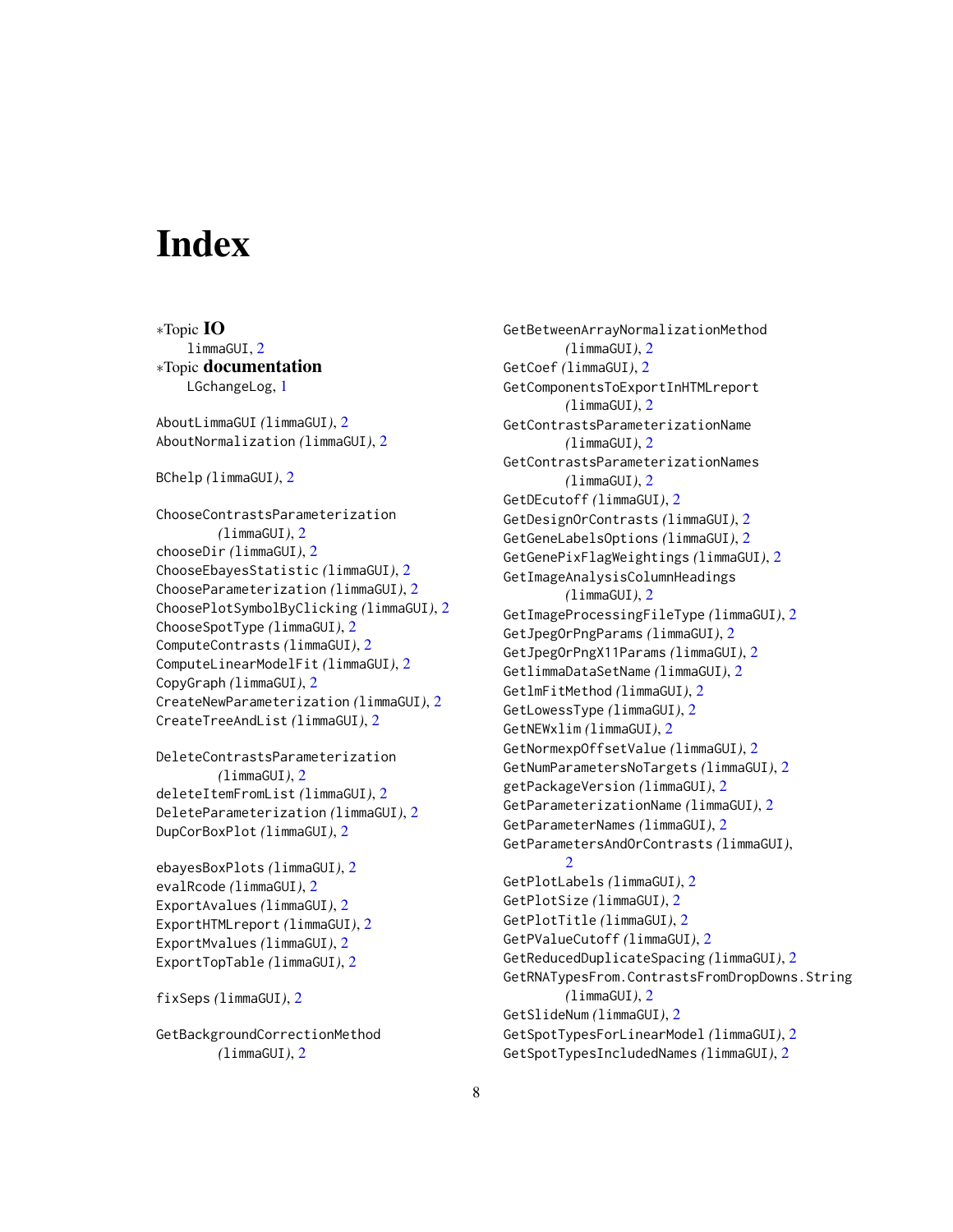# <span id="page-7-0"></span>**Index**

∗Topic IO limmaGUI, [2](#page-1-0) ∗Topic documentation LGchangeLog, [1](#page-0-0) AboutLimmaGUI *(*limmaGUI*)*, [2](#page-1-0) AboutNormalization *(*limmaGUI*)*, [2](#page-1-0) BChelp *(*limmaGUI*)*, [2](#page-1-0) ChooseContrastsParameterization *(*limmaGUI*)*, [2](#page-1-0) chooseDir *(*limmaGUI*)*, [2](#page-1-0) ChooseEbayesStatistic *(*limmaGUI*)*, [2](#page-1-0) ChooseParameterization *(*limmaGUI*)*, [2](#page-1-0) ChoosePlotSymbolByClicking *(*limmaGUI*)*, [2](#page-1-0) ChooseSpotType *(*limmaGUI*)*, [2](#page-1-0) ComputeContrasts *(*limmaGUI*)*, [2](#page-1-0) ComputeLinearModelFit *(*limmaGUI*)*, [2](#page-1-0) CopyGraph *(*limmaGUI*)*, [2](#page-1-0) CreateNewParameterization *(*limmaGUI*)*, [2](#page-1-0) CreateTreeAndList *(*limmaGUI*)*, [2](#page-1-0) DeleteContrastsParameterization *(*limmaGUI*)*, [2](#page-1-0) deleteItemFromList *(*limmaGUI*)*, [2](#page-1-0) DeleteParameterization *(*limmaGUI*)*, [2](#page-1-0) DupCorBoxPlot *(*limmaGUI*)*, [2](#page-1-0) ebayesBoxPlots *(*limmaGUI*)*, [2](#page-1-0) evalRcode *(*limmaGUI*)*, [2](#page-1-0) ExportAvalues *(*limmaGUI*)*, [2](#page-1-0) ExportHTMLreport *(*limmaGUI*)*, [2](#page-1-0) ExportMvalues *(*limmaGUI*)*, [2](#page-1-0)

fixSeps *(*limmaGUI*)*, [2](#page-1-0)

GetBackgroundCorrectionMethod *(*limmaGUI*)*, [2](#page-1-0)

ExportTopTable *(*limmaGUI*)*, [2](#page-1-0)

GetBetweenArrayNormalizationMethod *(*limmaGUI*)*, [2](#page-1-0) GetCoef *(*limmaGUI*)*, [2](#page-1-0) GetComponentsToExportInHTMLreport *(*limmaGUI*)*, [2](#page-1-0) GetContrastsParameterizationName *(*limmaGUI*)*, [2](#page-1-0) GetContrastsParameterizationNames *(*limmaGUI*)*, [2](#page-1-0) GetDEcutoff *(*limmaGUI*)*, [2](#page-1-0) GetDesignOrContrasts *(*limmaGUI*)*, [2](#page-1-0) GetGeneLabelsOptions *(*limmaGUI*)*, [2](#page-1-0) GetGenePixFlagWeightings *(*limmaGUI*)*, [2](#page-1-0) GetImageAnalysisColumnHeadings *(*limmaGUI*)*, [2](#page-1-0) GetImageProcessingFileType *(*limmaGUI*)*, [2](#page-1-0) GetJpegOrPngParams *(*limmaGUI*)*, [2](#page-1-0) GetJpegOrPngX11Params *(*limmaGUI*)*, [2](#page-1-0) GetlimmaDataSetName *(*limmaGUI*)*, [2](#page-1-0) GetlmFitMethod *(*limmaGUI*)*, [2](#page-1-0) GetLowessType *(*limmaGUI*)*, [2](#page-1-0) GetNEWxlim *(*limmaGUI*)*, [2](#page-1-0) GetNormexpOffsetValue *(*limmaGUI*)*, [2](#page-1-0) GetNumParametersNoTargets *(*limmaGUI*)*, [2](#page-1-0) getPackageVersion *(*limmaGUI*)*, [2](#page-1-0) GetParameterizationName *(*limmaGUI*)*, [2](#page-1-0) GetParameterNames *(*limmaGUI*)*, [2](#page-1-0) GetParametersAndOrContrasts *(*limmaGUI*)*,  $\mathcal{D}$ GetPlotLabels *(*limmaGUI*)*, [2](#page-1-0) GetPlotSize *(*limmaGUI*)*, [2](#page-1-0) GetPlotTitle *(*limmaGUI*)*, [2](#page-1-0) GetPValueCutoff *(*limmaGUI*)*, [2](#page-1-0) GetReducedDuplicateSpacing *(*limmaGUI*)*, [2](#page-1-0) GetRNATypesFrom.ContrastsFromDropDowns.String *(*limmaGUI*)*, [2](#page-1-0) GetSlideNum *(*limmaGUI*)*, [2](#page-1-0) GetSpotTypesForLinearModel *(*limmaGUI*)*, [2](#page-1-0) GetSpotTypesIncludedNames *(*limmaGUI*)*, [2](#page-1-0)